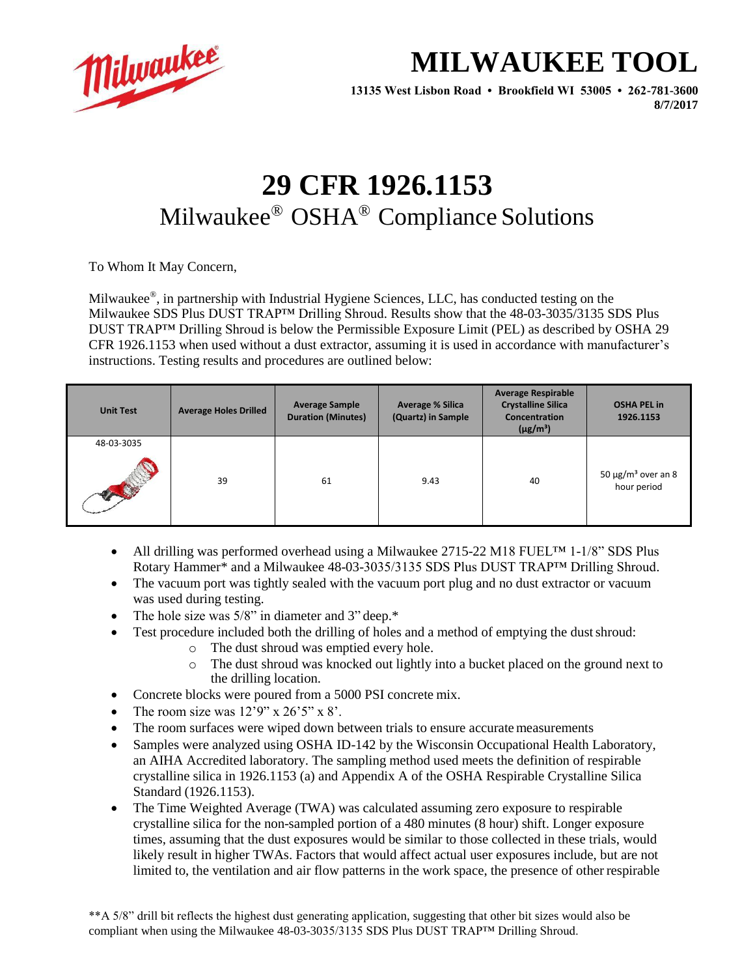

## **MILWAUKEE TOOL**

**13135 West Lisbon Road • Brookfield WI 53005 • 262-781-3600 8/7/2017**

## **29 CFR 1926.1153** Milwaukee® OSHA® Compliance Solutions

To Whom It May Concern,

Milwaukee®, in partnership with Industrial Hygiene Sciences, LLC, has conducted testing on the Milwaukee SDS Plus DUST TRAP<sup>TM</sup> Drilling Shroud. Results show that the 48-03-3035/3135 SDS Plus DUST TRAP™ Drilling Shroud is below the Permissible Exposure Limit (PEL) as described by OSHA 29 CFR 1926.1153 when used without a dust extractor, assuming it is used in accordance with manufacturer's instructions. Testing results and procedures are outlined below:

| <b>Unit Test</b> | <b>Average Holes Drilled</b> | <b>Average Sample</b><br><b>Duration (Minutes)</b> | <b>Average % Silica</b><br>(Quartz) in Sample | <b>Average Respirable</b><br><b>Crystalline Silica</b><br><b>Concentration</b><br>$(\mu g/m^3)$ | <b>OSHA PEL in</b><br>1926.1153                    |
|------------------|------------------------------|----------------------------------------------------|-----------------------------------------------|-------------------------------------------------------------------------------------------------|----------------------------------------------------|
| 48-03-3035       |                              |                                                    |                                               |                                                                                                 |                                                    |
| <b>AND</b>       | 39                           | 61                                                 | 9.43                                          | 40                                                                                              | 50 $\mu$ g/m <sup>3</sup> over an 8<br>hour period |

- All drilling was performed overhead using a Milwaukee 2715-22 M18 FUELTM 1-1/8" SDS Plus Rotary Hammer\* and a Milwaukee 48-03-3035/3135 SDS Plus DUST TRAP™ Drilling Shroud.
- The vacuum port was tightly sealed with the vacuum port plug and no dust extractor or vacuum was used during testing.
- The hole size was 5/8" in diameter and 3" deep.\*
- Test procedure included both the drilling of holes and a method of emptying the dust shroud:
	- o The dust shroud was emptied every hole.
	- o The dust shroud was knocked out lightly into a bucket placed on the ground next to the drilling location.
- Concrete blocks were poured from a 5000 PSI concrete mix.
- The room size was  $12'9''$  x  $26'5''$  x  $8'$ .
- The room surfaces were wiped down between trials to ensure accurate measurements
- Samples were analyzed using OSHA ID-142 by the Wisconsin Occupational Health Laboratory, an AIHA Accredited laboratory. The sampling method used meets the definition of respirable crystalline silica in 1926.1153 (a) and Appendix A of the OSHA Respirable Crystalline Silica Standard (1926.1153).
- The Time Weighted Average (TWA) was calculated assuming zero exposure to respirable crystalline silica for the non-sampled portion of a 480 minutes (8 hour) shift. Longer exposure times, assuming that the dust exposures would be similar to those collected in these trials, would likely result in higher TWAs. Factors that would affect actual user exposures include, but are not limited to, the ventilation and air flow patterns in the work space, the presence of other respirable